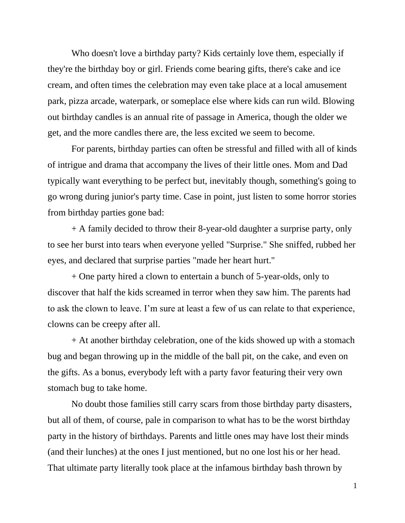Who doesn't love a birthday party? Kids certainly love them, especially if they're the birthday boy or girl. Friends come bearing gifts, there's cake and ice cream, and often times the celebration may even take place at a local amusement park, pizza arcade, waterpark, or someplace else where kids can run wild. Blowing out birthday candles is an annual rite of passage in America, though the older we get, and the more candles there are, the less excited we seem to become.

For parents, birthday parties can often be stressful and filled with all of kinds of intrigue and drama that accompany the lives of their little ones. Mom and Dad typically want everything to be perfect but, inevitably though, something's going to go wrong during junior's party time. Case in point, just listen to some horror stories from birthday parties gone bad:

+ A family decided to throw their 8-year-old daughter a surprise party, only to see her burst into tears when everyone yelled "Surprise." She sniffed, rubbed her eyes, and declared that surprise parties "made her heart hurt."

+ One party hired a clown to entertain a bunch of 5-year-olds, only to discover that half the kids screamed in terror when they saw him. The parents had to ask the clown to leave. I'm sure at least a few of us can relate to that experience, clowns can be creepy after all.

+ At another birthday celebration, one of the kids showed up with a stomach bug and began throwing up in the middle of the ball pit, on the cake, and even on the gifts. As a bonus, everybody left with a party favor featuring their very own stomach bug to take home.

No doubt those families still carry scars from those birthday party disasters, but all of them, of course, pale in comparison to what has to be the worst birthday party in the history of birthdays. Parents and little ones may have lost their minds (and their lunches) at the ones I just mentioned, but no one lost his or her head. That ultimate party literally took place at the infamous birthday bash thrown by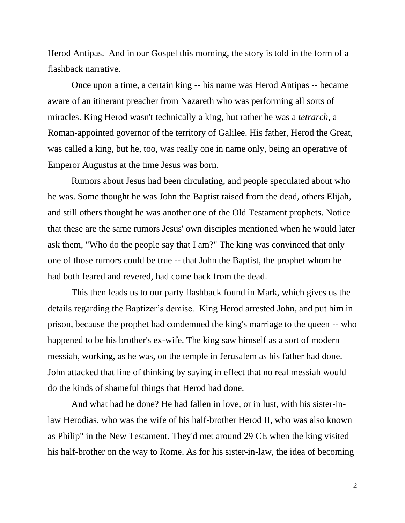Herod Antipas. And in our Gospel this morning, the story is told in the form of a flashback narrative.

Once upon a time, a certain king -- his name was Herod Antipas -- became aware of an itinerant preacher from Nazareth who was performing all sorts of miracles. King Herod wasn't technically a king, but rather he was a *tetrarch*, a Roman-appointed governor of the territory of Galilee. His father, Herod the Great, was called a king, but he, too, was really one in name only, being an operative of Emperor Augustus at the time Jesus was born.

Rumors about Jesus had been circulating, and people speculated about who he was. Some thought he was John the Baptist raised from the dead, others Elijah, and still others thought he was another one of the Old Testament prophets. Notice that these are the same rumors Jesus' own disciples mentioned when he would later ask them, "Who do the people say that I am?" The king was convinced that only one of those rumors could be true -- that John the Baptist, the prophet whom he had both feared and revered, had come back from the dead.

This then leads us to our party flashback found in Mark, which gives us the details regarding the Baptizer's demise. King Herod arrested John, and put him in prison, because the prophet had condemned the king's marriage to the queen -- who happened to be his brother's ex-wife. The king saw himself as a sort of modern messiah, working, as he was, on the temple in Jerusalem as his father had done. John attacked that line of thinking by saying in effect that no real messiah would do the kinds of shameful things that Herod had done.

And what had he done? He had fallen in love, or in lust, with his sister-inlaw Herodias, who was the wife of his half-brother Herod II, who was also known as Philip" in the New Testament. They'd met around 29 CE when the king visited his half-brother on the way to Rome. As for his sister-in-law, the idea of becoming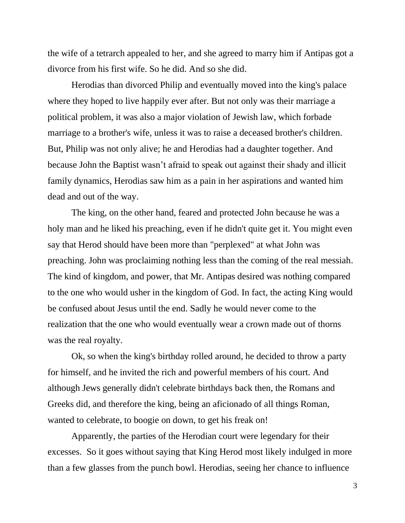the wife of a tetrarch appealed to her, and she agreed to marry him if Antipas got a divorce from his first wife. So he did. And so she did.

Herodias than divorced Philip and eventually moved into the king's palace where they hoped to live happily ever after. But not only was their marriage a political problem, it was also a major violation of Jewish law, which forbade marriage to a brother's wife, unless it was to raise a deceased brother's children. But, Philip was not only alive; he and Herodias had a daughter together. And because John the Baptist wasn't afraid to speak out against their shady and illicit family dynamics, Herodias saw him as a pain in her aspirations and wanted him dead and out of the way.

The king, on the other hand, feared and protected John because he was a holy man and he liked his preaching, even if he didn't quite get it. You might even say that Herod should have been more than "perplexed" at what John was preaching. John was proclaiming nothing less than the coming of the real messiah. The kind of kingdom, and power, that Mr. Antipas desired was nothing compared to the one who would usher in the kingdom of God. In fact, the acting King would be confused about Jesus until the end. Sadly he would never come to the realization that the one who would eventually wear a crown made out of thorns was the real royalty.

Ok, so when the king's birthday rolled around, he decided to throw a party for himself, and he invited the rich and powerful members of his court. And although Jews generally didn't celebrate birthdays back then, the Romans and Greeks did, and therefore the king, being an aficionado of all things Roman, wanted to celebrate, to boogie on down, to get his freak on!

Apparently, the parties of the Herodian court were legendary for their excesses. So it goes without saying that King Herod most likely indulged in more than a few glasses from the punch bowl. Herodias, seeing her chance to influence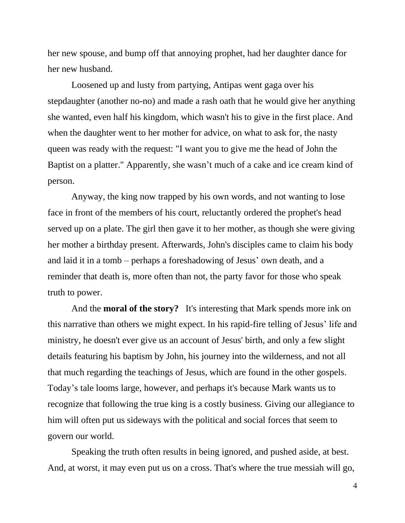her new spouse, and bump off that annoying prophet, had her daughter dance for her new husband.

Loosened up and lusty from partying, Antipas went gaga over his stepdaughter (another no-no) and made a rash oath that he would give her anything she wanted, even half his kingdom, which wasn't his to give in the first place. And when the daughter went to her mother for advice, on what to ask for, the nasty queen was ready with the request: "I want you to give me the head of John the Baptist on a platter." Apparently, she wasn't much of a cake and ice cream kind of person.

Anyway, the king now trapped by his own words, and not wanting to lose face in front of the members of his court, reluctantly ordered the prophet's head served up on a plate. The girl then gave it to her mother, as though she were giving her mother a birthday present. Afterwards, John's disciples came to claim his body and laid it in a tomb – perhaps a foreshadowing of Jesus' own death, and a reminder that death is, more often than not, the party favor for those who speak truth to power.

And the **moral of the story?** It's interesting that Mark spends more ink on this narrative than others we might expect. In his rapid-fire telling of Jesus' life and ministry, he doesn't ever give us an account of Jesus' birth, and only a few slight details featuring his baptism by John, his journey into the wilderness, and not all that much regarding the teachings of Jesus, which are found in the other gospels. Today's tale looms large, however, and perhaps it's because Mark wants us to recognize that following the true king is a costly business*.* Giving our allegiance to him will often put us sideways with the political and social forces that seem to govern our world.

Speaking the truth often results in being ignored, and pushed aside, at best. And, at worst, it may even put us on a cross. That's where the true messiah will go,